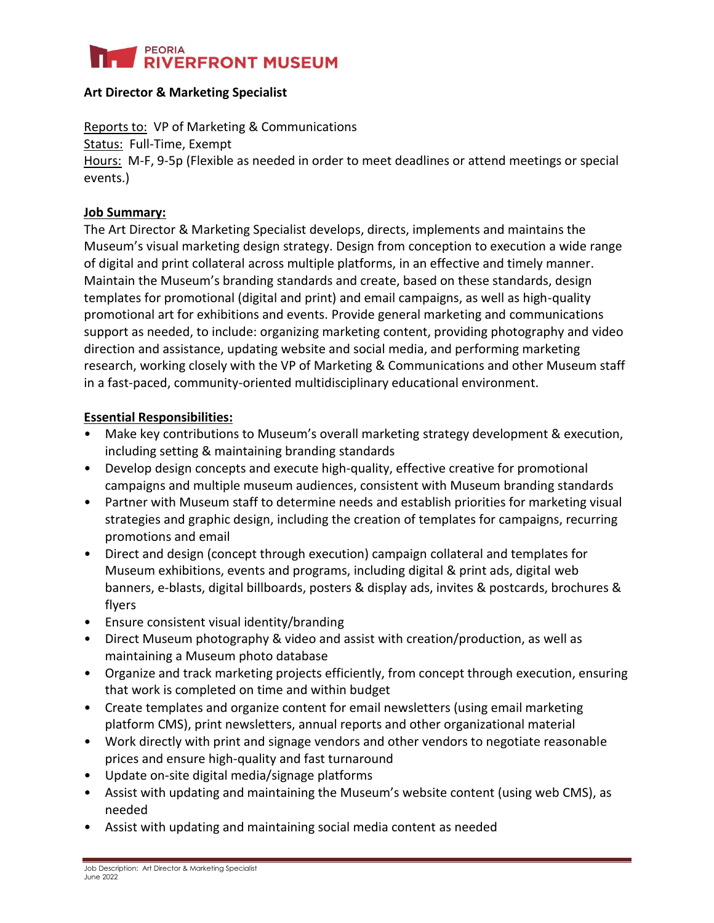

### **Art Director & Marketing Specialist**

Reports to: VP of Marketing & Communications

Status: Full-Time, Exempt

Hours: M-F, 9-5p (Flexible as needed in order to meet deadlines or attend meetings or special events.)

## **Job Summary:**

The Art Director & Marketing Specialist develops, directs, implements and maintains the Museum's visual marketing design strategy. Design from conception to execution a wide range of digital and print collateral across multiple platforms, in an effective and timely manner. Maintain the Museum's branding standards and create, based on these standards, design templates for promotional (digital and print) and email campaigns, as well as high-quality promotional art for exhibitions and events. Provide general marketing and communications support as needed, to include: organizing marketing content, providing photography and video direction and assistance, updating website and social media, and performing marketing research, working closely with the VP of Marketing & Communications and other Museum staff in a fast-paced, community-oriented multidisciplinary educational environment.

## **Essential Responsibilities:**

- Make key contributions to Museum's overall marketing strategy development & execution, including setting & maintaining branding standards
- Develop design concepts and execute high-quality, effective creative for promotional campaigns and multiple museum audiences, consistent with Museum branding standards
- Partner with Museum staff to determine needs and establish priorities for marketing visual strategies and graphic design, including the creation of templates for campaigns, recurring promotions and email
- Direct and design (concept through execution) campaign collateral and templates for Museum exhibitions, events and programs, including digital & print ads, digital web banners, e-blasts, digital billboards, posters & display ads, invites & postcards, brochures & flyers
- Ensure consistent visual identity/branding
- Direct Museum photography & video and assist with creation/production, as well as maintaining a Museum photo database
- Organize and track marketing projects efficiently, from concept through execution, ensuring that work is completed on time and within budget
- Create templates and organize content for email newsletters (using email marketing platform CMS), print newsletters, annual reports and other organizational material
- Work directly with print and signage vendors and other vendors to negotiate reasonable prices and ensure high-quality and fast turnaround
- Update on-site digital media/signage platforms
- Assist with updating and maintaining the Museum's website content (using web CMS), as needed
- Assist with updating and maintaining social media content as needed